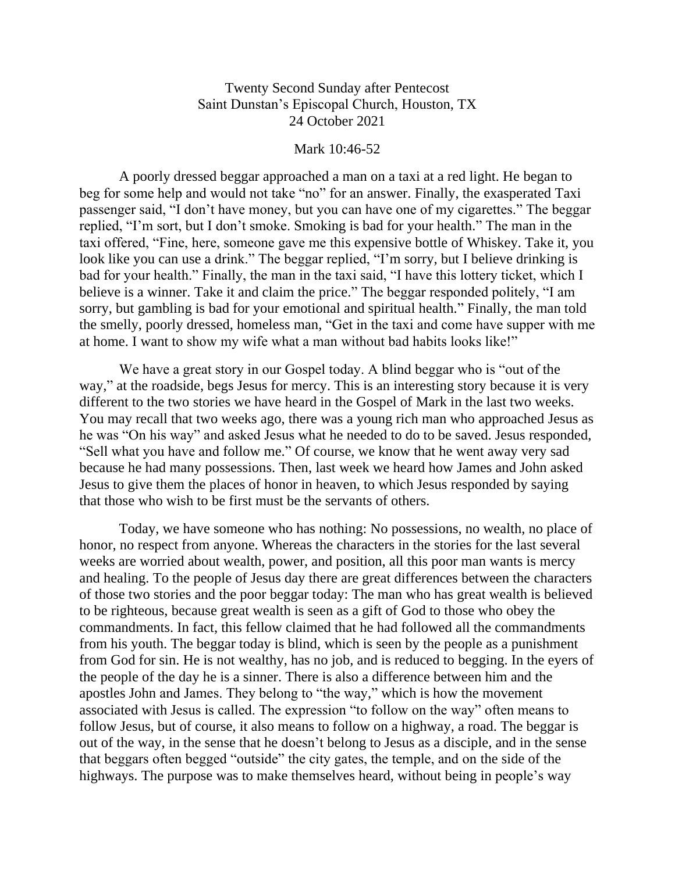## Twenty Second Sunday after Pentecost Saint Dunstan's Episcopal Church, Houston, TX 24 October 2021

## Mark 10:46-52

A poorly dressed beggar approached a man on a taxi at a red light. He began to beg for some help and would not take "no" for an answer. Finally, the exasperated Taxi passenger said, "I don't have money, but you can have one of my cigarettes." The beggar replied, "I'm sort, but I don't smoke. Smoking is bad for your health." The man in the taxi offered, "Fine, here, someone gave me this expensive bottle of Whiskey. Take it, you look like you can use a drink." The beggar replied, "I'm sorry, but I believe drinking is bad for your health." Finally, the man in the taxi said, "I have this lottery ticket, which I believe is a winner. Take it and claim the price." The beggar responded politely, "I am sorry, but gambling is bad for your emotional and spiritual health." Finally, the man told the smelly, poorly dressed, homeless man, "Get in the taxi and come have supper with me at home. I want to show my wife what a man without bad habits looks like!"

We have a great story in our Gospel today. A blind beggar who is "out of the way," at the roadside, begs Jesus for mercy. This is an interesting story because it is very different to the two stories we have heard in the Gospel of Mark in the last two weeks. You may recall that two weeks ago, there was a young rich man who approached Jesus as he was "On his way" and asked Jesus what he needed to do to be saved. Jesus responded, "Sell what you have and follow me." Of course, we know that he went away very sad because he had many possessions. Then, last week we heard how James and John asked Jesus to give them the places of honor in heaven, to which Jesus responded by saying that those who wish to be first must be the servants of others.

Today, we have someone who has nothing: No possessions, no wealth, no place of honor, no respect from anyone. Whereas the characters in the stories for the last several weeks are worried about wealth, power, and position, all this poor man wants is mercy and healing. To the people of Jesus day there are great differences between the characters of those two stories and the poor beggar today: The man who has great wealth is believed to be righteous, because great wealth is seen as a gift of God to those who obey the commandments. In fact, this fellow claimed that he had followed all the commandments from his youth. The beggar today is blind, which is seen by the people as a punishment from God for sin. He is not wealthy, has no job, and is reduced to begging. In the eyers of the people of the day he is a sinner. There is also a difference between him and the apostles John and James. They belong to "the way," which is how the movement associated with Jesus is called. The expression "to follow on the way" often means to follow Jesus, but of course, it also means to follow on a highway, a road. The beggar is out of the way, in the sense that he doesn't belong to Jesus as a disciple, and in the sense that beggars often begged "outside" the city gates, the temple, and on the side of the highways. The purpose was to make themselves heard, without being in people's way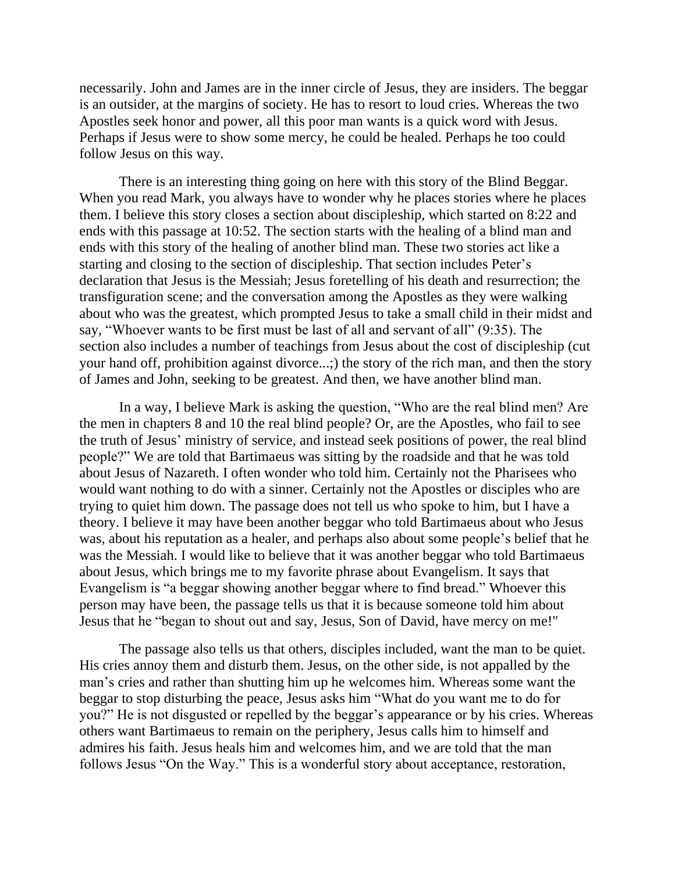necessarily. John and James are in the inner circle of Jesus, they are insiders. The beggar is an outsider, at the margins of society. He has to resort to loud cries. Whereas the two Apostles seek honor and power, all this poor man wants is a quick word with Jesus. Perhaps if Jesus were to show some mercy, he could be healed. Perhaps he too could follow Jesus on this way.

There is an interesting thing going on here with this story of the Blind Beggar. When you read Mark, you always have to wonder why he places stories where he places them. I believe this story closes a section about discipleship, which started on 8:22 and ends with this passage at 10:52. The section starts with the healing of a blind man and ends with this story of the healing of another blind man. These two stories act like a starting and closing to the section of discipleship. That section includes Peter's declaration that Jesus is the Messiah; Jesus foretelling of his death and resurrection; the transfiguration scene; and the conversation among the Apostles as they were walking about who was the greatest, which prompted Jesus to take a small child in their midst and say, "Whoever wants to be first must be last of all and servant of all" (9:35). The section also includes a number of teachings from Jesus about the cost of discipleship (cut your hand off, prohibition against divorce...;) the story of the rich man, and then the story of James and John, seeking to be greatest. And then, we have another blind man.

In a way, I believe Mark is asking the question, "Who are the real blind men? Are the men in chapters 8 and 10 the real blind people? Or, are the Apostles, who fail to see the truth of Jesus' ministry of service, and instead seek positions of power, the real blind people?" We are told that Bartimaeus was sitting by the roadside and that he was told about Jesus of Nazareth. I often wonder who told him. Certainly not the Pharisees who would want nothing to do with a sinner. Certainly not the Apostles or disciples who are trying to quiet him down. The passage does not tell us who spoke to him, but I have a theory. I believe it may have been another beggar who told Bartimaeus about who Jesus was, about his reputation as a healer, and perhaps also about some people's belief that he was the Messiah. I would like to believe that it was another beggar who told Bartimaeus about Jesus, which brings me to my favorite phrase about Evangelism. It says that Evangelism is "a beggar showing another beggar where to find bread." Whoever this person may have been, the passage tells us that it is because someone told him about Jesus that he "began to shout out and say, Jesus, Son of David, have mercy on me!"

The passage also tells us that others, disciples included, want the man to be quiet. His cries annoy them and disturb them. Jesus, on the other side, is not appalled by the man's cries and rather than shutting him up he welcomes him. Whereas some want the beggar to stop disturbing the peace, Jesus asks him "What do you want me to do for you?" He is not disgusted or repelled by the beggar's appearance or by his cries. Whereas others want Bartimaeus to remain on the periphery, Jesus calls him to himself and admires his faith. Jesus heals him and welcomes him, and we are told that the man follows Jesus "On the Way." This is a wonderful story about acceptance, restoration,